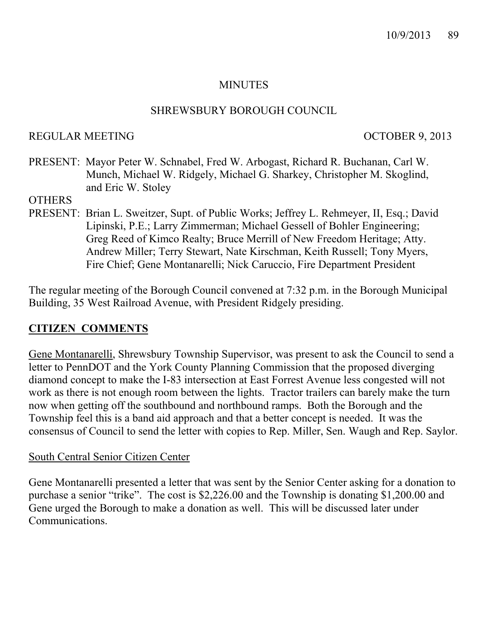## MINUTES

### SHREWSBURY BOROUGH COUNCIL

### REGULAR MEETING OCTOBER 9, 2013

PRESENT: Mayor Peter W. Schnabel, Fred W. Arbogast, Richard R. Buchanan, Carl W. Munch, Michael W. Ridgely, Michael G. Sharkey, Christopher M. Skoglind, and Eric W. Stoley

### **OTHERS**

PRESENT: Brian L. Sweitzer, Supt. of Public Works; Jeffrey L. Rehmeyer, II, Esq.; David Lipinski, P.E.; Larry Zimmerman; Michael Gessell of Bohler Engineering; Greg Reed of Kimco Realty; Bruce Merrill of New Freedom Heritage; Atty. Andrew Miller; Terry Stewart, Nate Kirschman, Keith Russell; Tony Myers, Fire Chief; Gene Montanarelli; Nick Caruccio, Fire Department President

The regular meeting of the Borough Council convened at 7:32 p.m. in the Borough Municipal Building, 35 West Railroad Avenue, with President Ridgely presiding.

# **CITIZEN COMMENTS**

Gene Montanarelli, Shrewsbury Township Supervisor, was present to ask the Council to send a letter to PennDOT and the York County Planning Commission that the proposed diverging diamond concept to make the I-83 intersection at East Forrest Avenue less congested will not work as there is not enough room between the lights. Tractor trailers can barely make the turn now when getting off the southbound and northbound ramps. Both the Borough and the Township feel this is a band aid approach and that a better concept is needed. It was the consensus of Council to send the letter with copies to Rep. Miller, Sen. Waugh and Rep. Saylor.

#### South Central Senior Citizen Center

Gene Montanarelli presented a letter that was sent by the Senior Center asking for a donation to purchase a senior "trike". The cost is \$2,226.00 and the Township is donating \$1,200.00 and Gene urged the Borough to make a donation as well. This will be discussed later under Communications.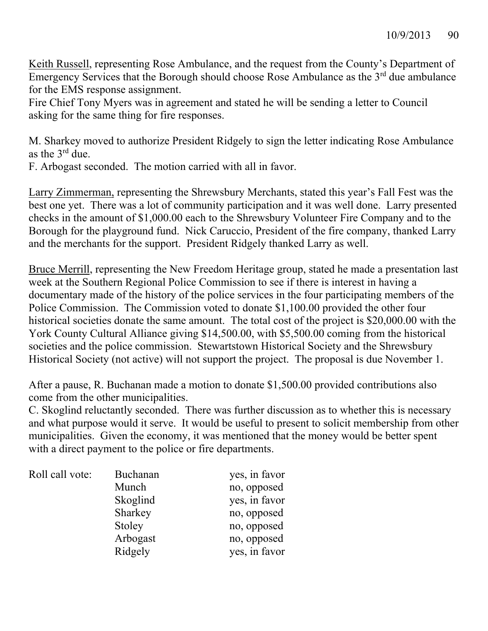Keith Russell, representing Rose Ambulance, and the request from the County's Department of Emergency Services that the Borough should choose Rose Ambulance as the  $3<sup>rd</sup>$  due ambulance for the EMS response assignment.

Fire Chief Tony Myers was in agreement and stated he will be sending a letter to Council asking for the same thing for fire responses.

M. Sharkey moved to authorize President Ridgely to sign the letter indicating Rose Ambulance as the 3rd due.

F. Arbogast seconded. The motion carried with all in favor.

Larry Zimmerman, representing the Shrewsbury Merchants, stated this year's Fall Fest was the best one yet. There was a lot of community participation and it was well done. Larry presented checks in the amount of \$1,000.00 each to the Shrewsbury Volunteer Fire Company and to the Borough for the playground fund. Nick Caruccio, President of the fire company, thanked Larry and the merchants for the support. President Ridgely thanked Larry as well.

Bruce Merrill, representing the New Freedom Heritage group, stated he made a presentation last week at the Southern Regional Police Commission to see if there is interest in having a documentary made of the history of the police services in the four participating members of the Police Commission. The Commission voted to donate \$1,100.00 provided the other four historical societies donate the same amount. The total cost of the project is \$20,000.00 with the York County Cultural Alliance giving \$14,500.00, with \$5,500.00 coming from the historical societies and the police commission. Stewartstown Historical Society and the Shrewsbury Historical Society (not active) will not support the project. The proposal is due November 1.

After a pause, R. Buchanan made a motion to donate \$1,500.00 provided contributions also come from the other municipalities.

C. Skoglind reluctantly seconded. There was further discussion as to whether this is necessary and what purpose would it serve. It would be useful to present to solicit membership from other municipalities. Given the economy, it was mentioned that the money would be better spent with a direct payment to the police or fire departments.

| Roll call vote: | Buchanan | yes, in favor |
|-----------------|----------|---------------|
|                 | Munch    | no, opposed   |
|                 | Skoglind | yes, in favor |
|                 | Sharkey  | no, opposed   |
|                 | Stoley   | no, opposed   |
|                 | Arbogast | no, opposed   |
|                 | Ridgely  | yes, in favor |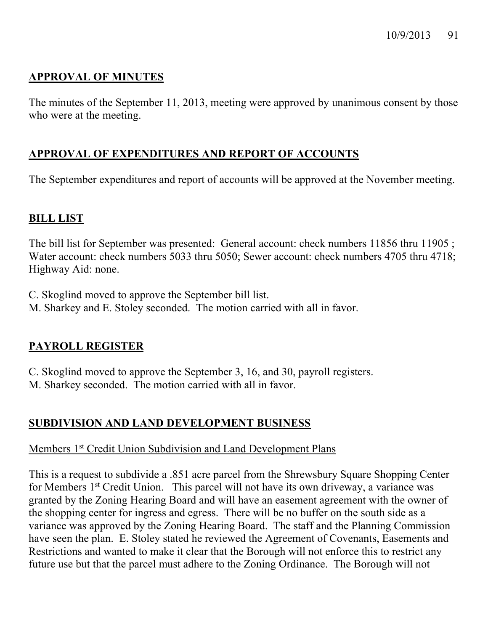# **APPROVAL OF MINUTES**

The minutes of the September 11, 2013, meeting were approved by unanimous consent by those who were at the meeting.

# **APPROVAL OF EXPENDITURES AND REPORT OF ACCOUNTS**

The September expenditures and report of accounts will be approved at the November meeting.

### **BILL LIST**

The bill list for September was presented: General account: check numbers 11856 thru 11905 ; Water account: check numbers 5033 thru 5050; Sewer account: check numbers 4705 thru 4718; Highway Aid: none.

- C. Skoglind moved to approve the September bill list.
- M. Sharkey and E. Stoley seconded. The motion carried with all in favor.

# **PAYROLL REGISTER**

C. Skoglind moved to approve the September 3, 16, and 30, payroll registers. M. Sharkey seconded. The motion carried with all in favor.

# **SUBDIVISION AND LAND DEVELOPMENT BUSINESS**

#### Members 1<sup>st</sup> Credit Union Subdivision and Land Development Plans

This is a request to subdivide a .851 acre parcel from the Shrewsbury Square Shopping Center for Members 1st Credit Union. This parcel will not have its own driveway, a variance was granted by the Zoning Hearing Board and will have an easement agreement with the owner of the shopping center for ingress and egress. There will be no buffer on the south side as a variance was approved by the Zoning Hearing Board. The staff and the Planning Commission have seen the plan. E. Stoley stated he reviewed the Agreement of Covenants, Easements and Restrictions and wanted to make it clear that the Borough will not enforce this to restrict any future use but that the parcel must adhere to the Zoning Ordinance. The Borough will not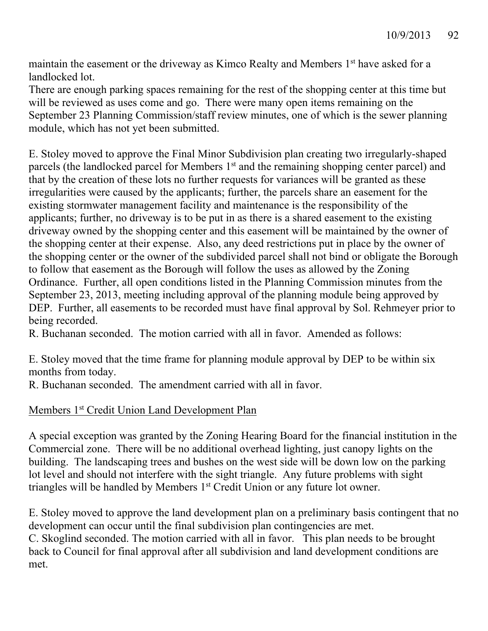maintain the easement or the driveway as Kimco Realty and Members 1<sup>st</sup> have asked for a landlocked lot.

There are enough parking spaces remaining for the rest of the shopping center at this time but will be reviewed as uses come and go. There were many open items remaining on the September 23 Planning Commission/staff review minutes, one of which is the sewer planning module, which has not yet been submitted.

E. Stoley moved to approve the Final Minor Subdivision plan creating two irregularly-shaped parcels (the landlocked parcel for Members 1<sup>st</sup> and the remaining shopping center parcel) and that by the creation of these lots no further requests for variances will be granted as these irregularities were caused by the applicants; further, the parcels share an easement for the existing stormwater management facility and maintenance is the responsibility of the applicants; further, no driveway is to be put in as there is a shared easement to the existing driveway owned by the shopping center and this easement will be maintained by the owner of the shopping center at their expense. Also, any deed restrictions put in place by the owner of the shopping center or the owner of the subdivided parcel shall not bind or obligate the Borough to follow that easement as the Borough will follow the uses as allowed by the Zoning Ordinance. Further, all open conditions listed in the Planning Commission minutes from the September 23, 2013, meeting including approval of the planning module being approved by DEP. Further, all easements to be recorded must have final approval by Sol. Rehmeyer prior to being recorded.

R. Buchanan seconded. The motion carried with all in favor. Amended as follows:

E. Stoley moved that the time frame for planning module approval by DEP to be within six months from today.

R. Buchanan seconded. The amendment carried with all in favor.

# Members 1<sup>st</sup> Credit Union Land Development Plan

A special exception was granted by the Zoning Hearing Board for the financial institution in the Commercial zone. There will be no additional overhead lighting, just canopy lights on the building. The landscaping trees and bushes on the west side will be down low on the parking lot level and should not interfere with the sight triangle. Any future problems with sight triangles will be handled by Members 1<sup>st</sup> Credit Union or any future lot owner.

E. Stoley moved to approve the land development plan on a preliminary basis contingent that no development can occur until the final subdivision plan contingencies are met. C. Skoglind seconded. The motion carried with all in favor. This plan needs to be brought back to Council for final approval after all subdivision and land development conditions are met.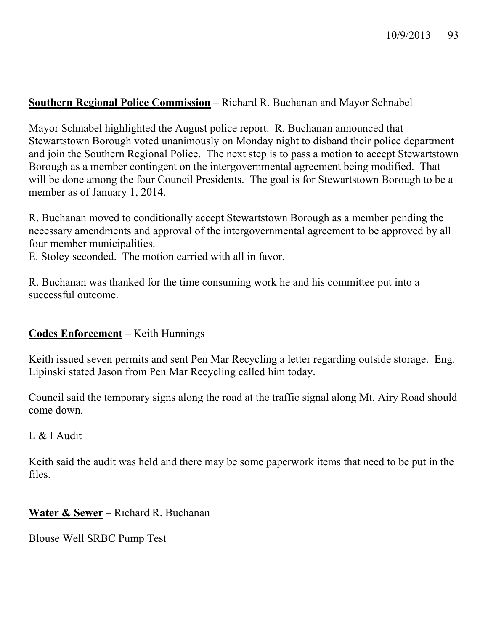## **Southern Regional Police Commission** – Richard R. Buchanan and Mayor Schnabel

Mayor Schnabel highlighted the August police report. R. Buchanan announced that Stewartstown Borough voted unanimously on Monday night to disband their police department and join the Southern Regional Police. The next step is to pass a motion to accept Stewartstown Borough as a member contingent on the intergovernmental agreement being modified. That will be done among the four Council Presidents. The goal is for Stewartstown Borough to be a member as of January 1, 2014.

R. Buchanan moved to conditionally accept Stewartstown Borough as a member pending the necessary amendments and approval of the intergovernmental agreement to be approved by all four member municipalities.

E. Stoley seconded. The motion carried with all in favor.

R. Buchanan was thanked for the time consuming work he and his committee put into a successful outcome.

# **Codes Enforcement** – Keith Hunnings

Keith issued seven permits and sent Pen Mar Recycling a letter regarding outside storage. Eng. Lipinski stated Jason from Pen Mar Recycling called him today.

Council said the temporary signs along the road at the traffic signal along Mt. Airy Road should come down.

#### L & I Audit

Keith said the audit was held and there may be some paperwork items that need to be put in the files.

**Water & Sewer** – Richard R. Buchanan

Blouse Well SRBC Pump Test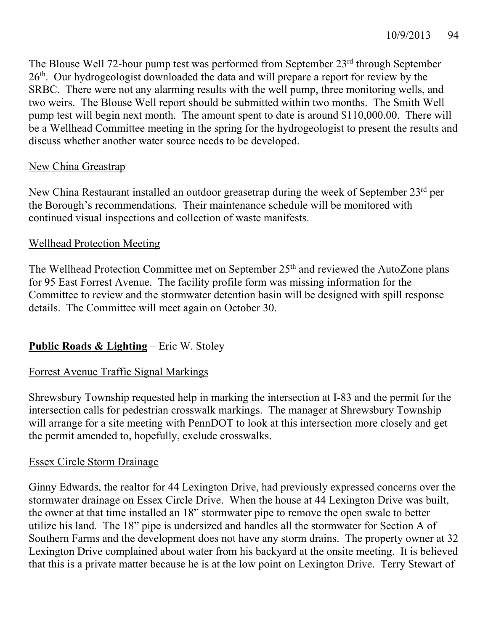The Blouse Well 72-hour pump test was performed from September 23rd through September 26<sup>th</sup>. Our hydrogeologist downloaded the data and will prepare a report for review by the SRBC. There were not any alarming results with the well pump, three monitoring wells, and two weirs. The Blouse Well report should be submitted within two months. The Smith Well pump test will begin next month. The amount spent to date is around \$110,000.00. There will be a Wellhead Committee meeting in the spring for the hydrogeologist to present the results and discuss whether another water source needs to be developed.

# New China Greastrap

New China Restaurant installed an outdoor greasetrap during the week of September 23<sup>rd</sup> per the Borough's recommendations. Their maintenance schedule will be monitored with continued visual inspections and collection of waste manifests.

# Wellhead Protection Meeting

The Wellhead Protection Committee met on September 25<sup>th</sup> and reviewed the AutoZone plans for 95 East Forrest Avenue. The facility profile form was missing information for the Committee to review and the stormwater detention basin will be designed with spill response details. The Committee will meet again on October 30.

# **Public Roads & Lighting** – Eric W. Stoley

# Forrest Avenue Traffic Signal Markings

Shrewsbury Township requested help in marking the intersection at I-83 and the permit for the intersection calls for pedestrian crosswalk markings. The manager at Shrewsbury Township will arrange for a site meeting with PennDOT to look at this intersection more closely and get the permit amended to, hopefully, exclude crosswalks.

# Essex Circle Storm Drainage

Ginny Edwards, the realtor for 44 Lexington Drive, had previously expressed concerns over the stormwater drainage on Essex Circle Drive. When the house at 44 Lexington Drive was built, the owner at that time installed an 18" stormwater pipe to remove the open swale to better utilize his land. The 18" pipe is undersized and handles all the stormwater for Section A of Southern Farms and the development does not have any storm drains. The property owner at 32 Lexington Drive complained about water from his backyard at the onsite meeting. It is believed that this is a private matter because he is at the low point on Lexington Drive. Terry Stewart of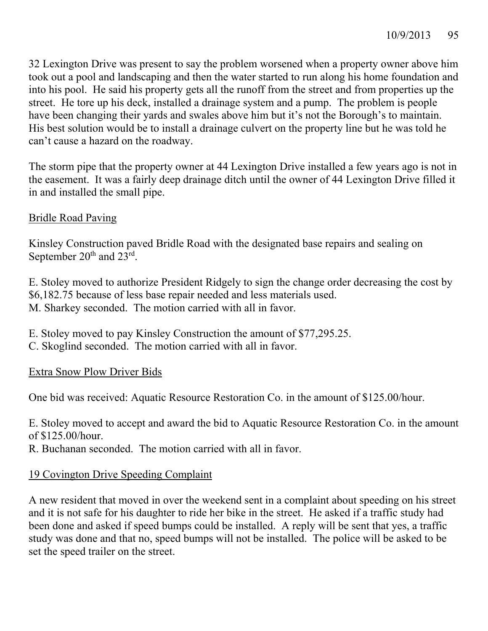32 Lexington Drive was present to say the problem worsened when a property owner above him took out a pool and landscaping and then the water started to run along his home foundation and into his pool. He said his property gets all the runoff from the street and from properties up the street. He tore up his deck, installed a drainage system and a pump. The problem is people have been changing their yards and swales above him but it's not the Borough's to maintain. His best solution would be to install a drainage culvert on the property line but he was told he can't cause a hazard on the roadway.

The storm pipe that the property owner at 44 Lexington Drive installed a few years ago is not in the easement. It was a fairly deep drainage ditch until the owner of 44 Lexington Drive filled it in and installed the small pipe.

# Bridle Road Paving

Kinsley Construction paved Bridle Road with the designated base repairs and sealing on September 20<sup>th</sup> and 23<sup>rd</sup>.

E. Stoley moved to authorize President Ridgely to sign the change order decreasing the cost by \$6,182.75 because of less base repair needed and less materials used. M. Sharkey seconded. The motion carried with all in favor.

E. Stoley moved to pay Kinsley Construction the amount of \$77,295.25.

C. Skoglind seconded. The motion carried with all in favor.

# Extra Snow Plow Driver Bids

One bid was received: Aquatic Resource Restoration Co. in the amount of \$125.00/hour.

E. Stoley moved to accept and award the bid to Aquatic Resource Restoration Co. in the amount of \$125.00/hour.

R. Buchanan seconded. The motion carried with all in favor.

# 19 Covington Drive Speeding Complaint

A new resident that moved in over the weekend sent in a complaint about speeding on his street and it is not safe for his daughter to ride her bike in the street. He asked if a traffic study had been done and asked if speed bumps could be installed. A reply will be sent that yes, a traffic study was done and that no, speed bumps will not be installed. The police will be asked to be set the speed trailer on the street.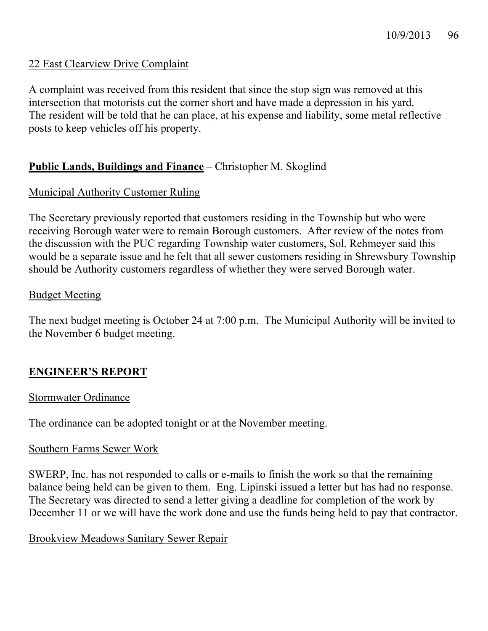## 22 East Clearview Drive Complaint

A complaint was received from this resident that since the stop sign was removed at this intersection that motorists cut the corner short and have made a depression in his yard. The resident will be told that he can place, at his expense and liability, some metal reflective posts to keep vehicles off his property.

### **Public Lands, Buildings and Finance** – Christopher M. Skoglind

### Municipal Authority Customer Ruling

The Secretary previously reported that customers residing in the Township but who were receiving Borough water were to remain Borough customers. After review of the notes from the discussion with the PUC regarding Township water customers, Sol. Rehmeyer said this would be a separate issue and he felt that all sewer customers residing in Shrewsbury Township should be Authority customers regardless of whether they were served Borough water.

#### Budget Meeting

The next budget meeting is October 24 at 7:00 p.m. The Municipal Authority will be invited to the November 6 budget meeting.

#### **ENGINEER'S REPORT**

#### Stormwater Ordinance

The ordinance can be adopted tonight or at the November meeting.

#### Southern Farms Sewer Work

SWERP, Inc. has not responded to calls or e-mails to finish the work so that the remaining balance being held can be given to them. Eng. Lipinski issued a letter but has had no response. The Secretary was directed to send a letter giving a deadline for completion of the work by December 11 or we will have the work done and use the funds being held to pay that contractor.

#### Brookview Meadows Sanitary Sewer Repair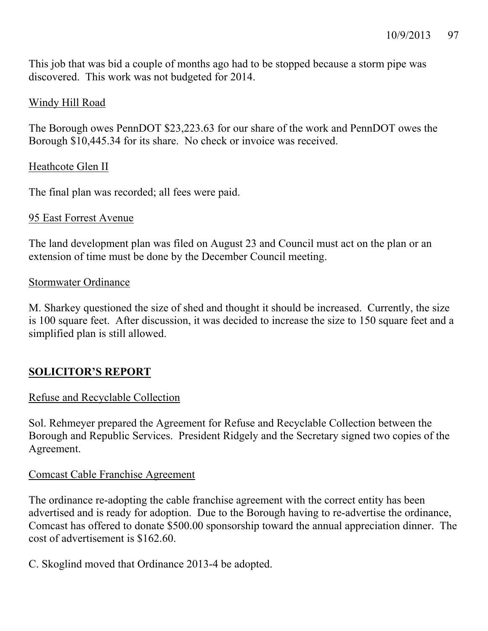This job that was bid a couple of months ago had to be stopped because a storm pipe was discovered. This work was not budgeted for 2014.

# Windy Hill Road

The Borough owes PennDOT \$23,223.63 for our share of the work and PennDOT owes the Borough \$10,445.34 for its share. No check or invoice was received.

### Heathcote Glen II

The final plan was recorded; all fees were paid.

#### 95 East Forrest Avenue

The land development plan was filed on August 23 and Council must act on the plan or an extension of time must be done by the December Council meeting.

#### Stormwater Ordinance

M. Sharkey questioned the size of shed and thought it should be increased. Currently, the size is 100 square feet. After discussion, it was decided to increase the size to 150 square feet and a simplified plan is still allowed.

# **SOLICITOR'S REPORT**

#### Refuse and Recyclable Collection

Sol. Rehmeyer prepared the Agreement for Refuse and Recyclable Collection between the Borough and Republic Services. President Ridgely and the Secretary signed two copies of the Agreement.

#### Comcast Cable Franchise Agreement

The ordinance re-adopting the cable franchise agreement with the correct entity has been advertised and is ready for adoption. Due to the Borough having to re-advertise the ordinance, Comcast has offered to donate \$500.00 sponsorship toward the annual appreciation dinner. The cost of advertisement is \$162.60.

C. Skoglind moved that Ordinance 2013-4 be adopted.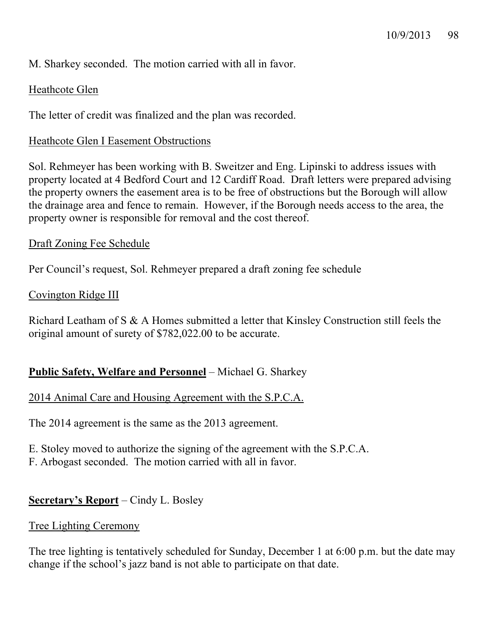M. Sharkey seconded. The motion carried with all in favor.

# Heathcote Glen

The letter of credit was finalized and the plan was recorded.

### Heathcote Glen I Easement Obstructions

Sol. Rehmeyer has been working with B. Sweitzer and Eng. Lipinski to address issues with property located at 4 Bedford Court and 12 Cardiff Road. Draft letters were prepared advising the property owners the easement area is to be free of obstructions but the Borough will allow the drainage area and fence to remain. However, if the Borough needs access to the area, the property owner is responsible for removal and the cost thereof.

#### Draft Zoning Fee Schedule

Per Council's request, Sol. Rehmeyer prepared a draft zoning fee schedule

### Covington Ridge III

Richard Leatham of S & A Homes submitted a letter that Kinsley Construction still feels the original amount of surety of \$782,022.00 to be accurate.

# **Public Safety, Welfare and Personnel** – Michael G. Sharkey

#### 2014 Animal Care and Housing Agreement with the S.P.C.A.

The 2014 agreement is the same as the 2013 agreement.

- E. Stoley moved to authorize the signing of the agreement with the S.P.C.A.
- F. Arbogast seconded. The motion carried with all in favor.

# **Secretary's Report** – Cindy L. Bosley

#### Tree Lighting Ceremony

The tree lighting is tentatively scheduled for Sunday, December 1 at 6:00 p.m. but the date may change if the school's jazz band is not able to participate on that date.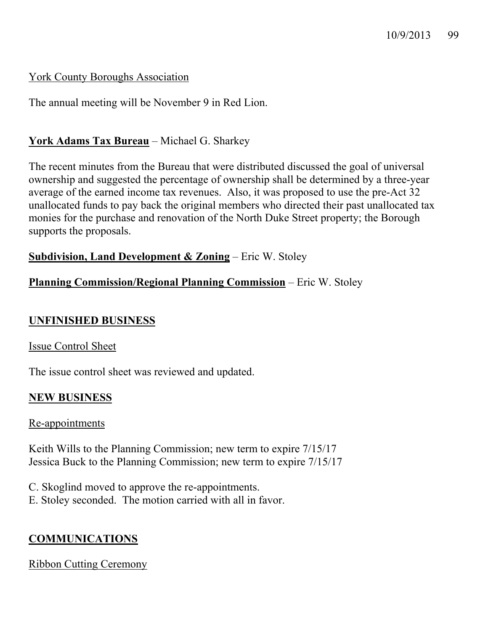# York County Boroughs Association

The annual meeting will be November 9 in Red Lion.

# **York Adams Tax Bureau** – Michael G. Sharkey

The recent minutes from the Bureau that were distributed discussed the goal of universal ownership and suggested the percentage of ownership shall be determined by a three-year average of the earned income tax revenues. Also, it was proposed to use the pre-Act 32 unallocated funds to pay back the original members who directed their past unallocated tax monies for the purchase and renovation of the North Duke Street property; the Borough supports the proposals.

### **Subdivision, Land Development & Zoning** – Eric W. Stoley

# **Planning Commission/Regional Planning Commission** – Eric W. Stoley

# **UNFINISHED BUSINESS**

# Issue Control Sheet

The issue control sheet was reviewed and updated.

# **NEW BUSINESS**

#### Re-appointments

Keith Wills to the Planning Commission; new term to expire 7/15/17 Jessica Buck to the Planning Commission; new term to expire 7/15/17

C. Skoglind moved to approve the re-appointments. E. Stoley seconded. The motion carried with all in favor.

# **COMMUNICATIONS**

Ribbon Cutting Ceremony